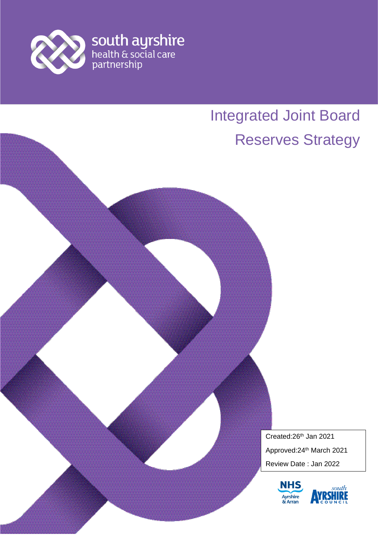

# Integrated Joint Board Reserves Strategy

Created:26th Jan 2021 Approved:24th March 2021 Review Date : Jan 2022



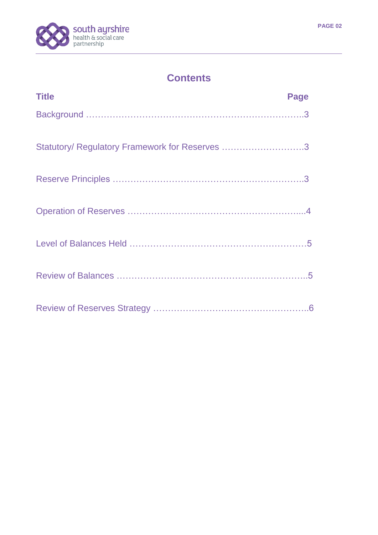

## **Contents**

| <b>Title</b>                                   | Page |
|------------------------------------------------|------|
|                                                |      |
| Statutory/ Regulatory Framework for Reserves 3 |      |
|                                                |      |
|                                                |      |
|                                                |      |
|                                                |      |
|                                                |      |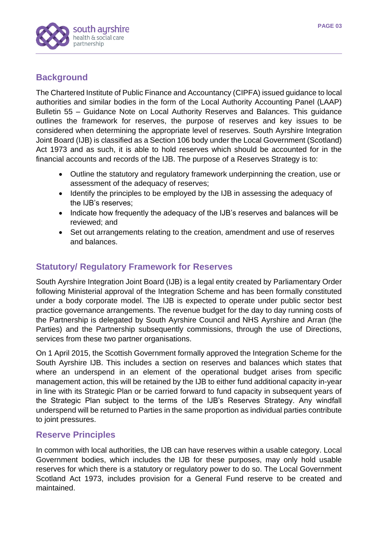

#### **Background**

The Chartered Institute of Public Finance and Accountancy (CIPFA) issued guidance to local authorities and similar bodies in the form of the Local Authority Accounting Panel (LAAP) Bulletin 55 – Guidance Note on Local Authority Reserves and Balances. This guidance outlines the framework for reserves, the purpose of reserves and key issues to be considered when determining the appropriate level of reserves. South Ayrshire Integration Joint Board (IJB) is classified as a Section 106 body under the Local Government (Scotland) Act 1973 and as such, it is able to hold reserves which should be accounted for in the financial accounts and records of the IJB. The purpose of a Reserves Strategy is to:

- Outline the statutory and regulatory framework underpinning the creation, use or assessment of the adequacy of reserves;
- Identify the principles to be employed by the IJB in assessing the adequacy of the IJB's reserves;
- Indicate how frequently the adequacy of the IJB's reserves and balances will be reviewed; and
- Set out arrangements relating to the creation, amendment and use of reserves and balances.

#### **Statutory/ Regulatory Framework for Reserves**

South Ayrshire Integration Joint Board (IJB) is a legal entity created by Parliamentary Order following Ministerial approval of the Integration Scheme and has been formally constituted under a body corporate model. The IJB is expected to operate under public sector best practice governance arrangements. The revenue budget for the day to day running costs of the Partnership is delegated by South Ayrshire Council and NHS Ayrshire and Arran (the Parties) and the Partnership subsequently commissions, through the use of Directions, services from these two partner organisations.

On 1 April 2015, the Scottish Government formally approved the Integration Scheme for the South Ayrshire IJB. This includes a section on reserves and balances which states that where an underspend in an element of the operational budget arises from specific management action, this will be retained by the IJB to either fund additional capacity in-year in line with its Strategic Plan or be carried forward to fund capacity in subsequent years of the Strategic Plan subject to the terms of the IJB's Reserves Strategy. Any windfall underspend will be returned to Parties in the same proportion as individual parties contribute to joint pressures.

#### **Reserve Principles**

In common with local authorities, the IJB can have reserves within a usable category. Local Government bodies, which includes the IJB for these purposes, may only hold usable reserves for which there is a statutory or regulatory power to do so. The Local Government Scotland Act 1973, includes provision for a General Fund reserve to be created and maintained.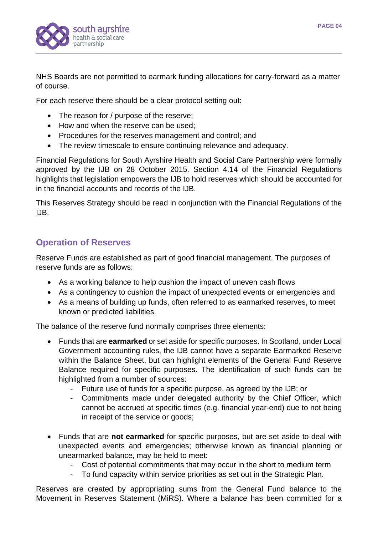

NHS Boards are not permitted to earmark funding allocations for carry-forward as a matter of course.

For each reserve there should be a clear protocol setting out:

- The reason for / purpose of the reserve:
- How and when the reserve can be used:
- Procedures for the reserves management and control; and
- The review timescale to ensure continuing relevance and adequacy.

Financial Regulations for South Ayrshire Health and Social Care Partnership were formally approved by the IJB on 28 October 2015. Section 4.14 of the Financial Regulations highlights that legislation empowers the IJB to hold reserves which should be accounted for in the financial accounts and records of the IJB.

This Reserves Strategy should be read in conjunction with the Financial Regulations of the IJB.

#### **Operation of Reserves**

Reserve Funds are established as part of good financial management. The purposes of reserve funds are as follows:

- As a working balance to help cushion the impact of uneven cash flows
- As a contingency to cushion the impact of unexpected events or emergencies and
- As a means of building up funds, often referred to as earmarked reserves, to meet known or predicted liabilities.

The balance of the reserve fund normally comprises three elements:

- Funds that are **earmarked** or set aside for specific purposes. In Scotland, under Local Government accounting rules, the IJB cannot have a separate Earmarked Reserve within the Balance Sheet, but can highlight elements of the General Fund Reserve Balance required for specific purposes. The identification of such funds can be highlighted from a number of sources:
	- Future use of funds for a specific purpose, as agreed by the IJB; or
	- Commitments made under delegated authority by the Chief Officer, which cannot be accrued at specific times (e.g. financial year-end) due to not being in receipt of the service or goods;
- Funds that are **not earmarked** for specific purposes, but are set aside to deal with unexpected events and emergencies; otherwise known as financial planning or unearmarked balance, may be held to meet:
	- Cost of potential commitments that may occur in the short to medium term
	- To fund capacity within service priorities as set out in the Strategic Plan.

Reserves are created by appropriating sums from the General Fund balance to the Movement in Reserves Statement (MiRS). Where a balance has been committed for a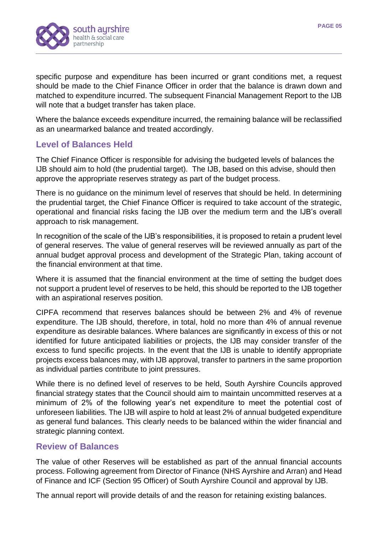

specific purpose and expenditure has been incurred or grant conditions met, a request should be made to the Chief Finance Officer in order that the balance is drawn down and matched to expenditure incurred. The subsequent Financial Management Report to the IJB will note that a budget transfer has taken place.

Where the balance exceeds expenditure incurred, the remaining balance will be reclassified as an unearmarked balance and treated accordingly.

#### **Level of Balances Held**

The Chief Finance Officer is responsible for advising the budgeted levels of balances the IJB should aim to hold (the prudential target). The IJB, based on this advise, should then approve the appropriate reserves strategy as part of the budget process.

There is no guidance on the minimum level of reserves that should be held. In determining the prudential target, the Chief Finance Officer is required to take account of the strategic, operational and financial risks facing the IJB over the medium term and the IJB's overall approach to risk management.

In recognition of the scale of the IJB's responsibilities, it is proposed to retain a prudent level of general reserves. The value of general reserves will be reviewed annually as part of the annual budget approval process and development of the Strategic Plan, taking account of the financial environment at that time.

Where it is assumed that the financial environment at the time of setting the budget does not support a prudent level of reserves to be held, this should be reported to the IJB together with an aspirational reserves position.

CIPFA recommend that reserves balances should be between 2% and 4% of revenue expenditure. The IJB should, therefore, in total, hold no more than 4% of annual revenue expenditure as desirable balances. Where balances are significantly in excess of this or not identified for future anticipated liabilities or projects, the IJB may consider transfer of the excess to fund specific projects. In the event that the IJB is unable to identify appropriate projects excess balances may, with IJB approval, transfer to partners in the same proportion as individual parties contribute to joint pressures.

While there is no defined level of reserves to be held, South Ayrshire Councils approved financial strategy states that the Council should aim to maintain uncommitted reserves at a minimum of 2% of the following year's net expenditure to meet the potential cost of unforeseen liabilities. The IJB will aspire to hold at least 2% of annual budgeted expenditure as general fund balances. This clearly needs to be balanced within the wider financial and strategic planning context.

#### **Review of Balances**

The value of other Reserves will be established as part of the annual financial accounts process. Following agreement from Director of Finance (NHS Ayrshire and Arran) and Head of Finance and ICF (Section 95 Officer) of South Ayrshire Council and approval by IJB.

The annual report will provide details of and the reason for retaining existing balances.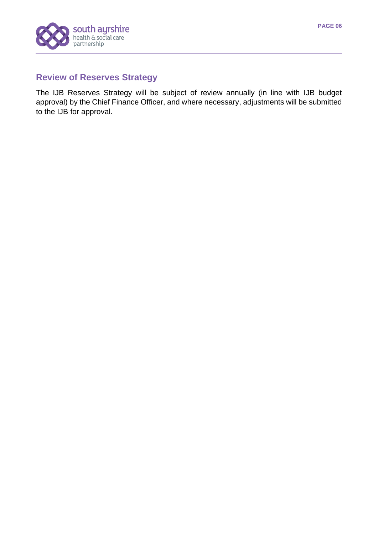

#### **Review of Reserves Strategy**

The IJB Reserves Strategy will be subject of review annually (in line with IJB budget approval) by the Chief Finance Officer, and where necessary, adjustments will be submitted to the IJB for approval.